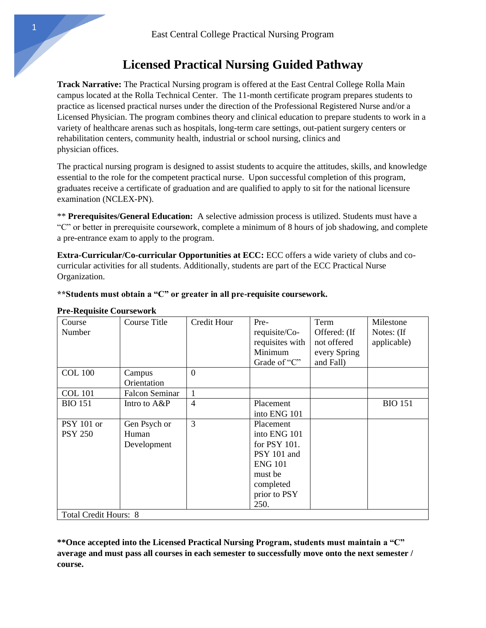## **Licensed Practical Nursing Guided Pathway**

**Track Narrative:** The Practical Nursing program is offered at the East Central College Rolla Main campus located at the Rolla Technical Center. The 11-month certificate program prepares students to practice as licensed practical nurses under the direction of the Professional Registered Nurse and/or a Licensed Physician. The program combines theory and clinical education to prepare students to work in a variety of healthcare arenas such as hospitals, long-term care settings, out-patient surgery centers or rehabilitation centers, community health, industrial or school nursing, clinics and physician offices.

The practical nursing program is designed to assist students to acquire the attitudes, skills, and knowledge essential to the role for the competent practical nurse. Upon successful completion of this program, graduates receive a certificate of graduation and are qualified to apply to sit for the national licensure examination (NCLEX-PN).

\*\* **Prerequisites/General Education:** A selective admission process is utilized. Students must have a "C" or better in prerequisite coursework, complete a minimum of 8 hours of job shadowing, and complete a pre-entrance exam to apply to the program.

**Extra-Curricular/Co-curricular Opportunities at ECC:** ECC offers a wide variety of clubs and cocurricular activities for all students. Additionally, students are part of the ECC Practical Nurse Organization.

**\*\*Students must obtain a "C" or greater in all pre-requisite coursework.** 

| Course<br>Number                                                         | <b>Course Title</b>                  | <b>Credit Hour</b> | Pre-<br>requisite/Co-<br>requisites with<br>Minimum<br>Grade of "C"                                                        | Term<br>Offered: (If<br>not offered<br>every Spring<br>and Fall) | Milestone<br>Notes: (If<br>applicable) |
|--------------------------------------------------------------------------|--------------------------------------|--------------------|----------------------------------------------------------------------------------------------------------------------------|------------------------------------------------------------------|----------------------------------------|
| <b>COL 100</b>                                                           | Campus<br>Orientation                | $\overline{0}$     |                                                                                                                            |                                                                  |                                        |
| <b>COL</b> 101                                                           | <b>Falcon Seminar</b>                | $\mathbf{1}$       |                                                                                                                            |                                                                  |                                        |
| <b>BIO 151</b>                                                           | Intro to A&P                         | $\overline{4}$     | Placement<br>into ENG 101                                                                                                  |                                                                  | <b>BIO 151</b>                         |
| <b>PSY 101 or</b><br><b>PSY 250</b><br>Total Credit Hours: $\frac{1}{2}$ | Gen Psych or<br>Human<br>Development | 3                  | Placement<br>into ENG 101<br>for PSY 101.<br>PSY 101 and<br><b>ENG 101</b><br>must be<br>completed<br>prior to PSY<br>250. |                                                                  |                                        |

## **Pre-Requisite Coursework**

I Total Credit Hours: 8

**\*\*Once accepted into the Licensed Practical Nursing Program, students must maintain a "C" average and must pass all courses in each semester to successfully move onto the next semester / course.**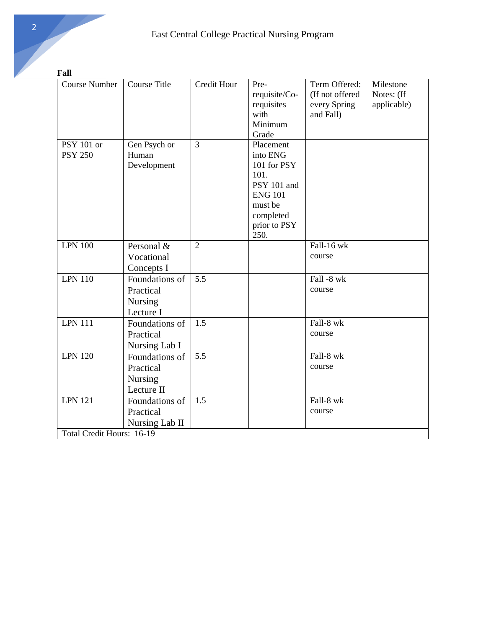**Fall** 

| <b>Course Number</b>      | <b>Course Title</b> | Credit Hour    | Pre-           | Term Offered:   | Milestone   |  |
|---------------------------|---------------------|----------------|----------------|-----------------|-------------|--|
|                           |                     |                |                |                 |             |  |
|                           |                     |                | requisite/Co-  | (If not offered | Notes: (If  |  |
|                           |                     |                | requisites     | every Spring    | applicable) |  |
|                           |                     |                | with           | and Fall)       |             |  |
|                           |                     |                | Minimum        |                 |             |  |
|                           |                     |                | Grade          |                 |             |  |
| <b>PSY 101 or</b>         | Gen Psych or        | 3              | Placement      |                 |             |  |
| <b>PSY 250</b>            | Human               |                | into ENG       |                 |             |  |
|                           | Development         |                | 101 for PSY    |                 |             |  |
|                           |                     |                | 101.           |                 |             |  |
|                           |                     |                | PSY 101 and    |                 |             |  |
|                           |                     |                | <b>ENG 101</b> |                 |             |  |
|                           |                     |                | must be        |                 |             |  |
|                           |                     |                | completed      |                 |             |  |
|                           |                     |                | prior to PSY   |                 |             |  |
|                           |                     |                | 250.           |                 |             |  |
| <b>LPN 100</b>            | Personal &          | $\overline{2}$ |                | Fall-16 wk      |             |  |
|                           | Vocational          |                |                | course          |             |  |
|                           | Concepts I          |                |                |                 |             |  |
| <b>LPN 110</b>            | Foundations of      | 5.5            |                | Fall -8 wk      |             |  |
|                           | Practical           |                |                | course          |             |  |
|                           | <b>Nursing</b>      |                |                |                 |             |  |
|                           | Lecture I           |                |                |                 |             |  |
| <b>LPN 111</b>            | Foundations of      | 1.5            |                | Fall-8 wk       |             |  |
|                           | Practical           |                |                | course          |             |  |
|                           | Nursing Lab I       |                |                |                 |             |  |
| <b>LPN 120</b>            | Foundations of      | 5.5            |                | Fall-8 wk       |             |  |
|                           | Practical           |                |                | course          |             |  |
|                           | Nursing             |                |                |                 |             |  |
|                           | Lecture II          |                |                |                 |             |  |
| <b>LPN 121</b>            | Foundations of      | 1.5            |                | Fall-8 wk       |             |  |
|                           | Practical           |                |                | course          |             |  |
|                           |                     |                |                |                 |             |  |
|                           | Nursing Lab II      |                |                |                 |             |  |
| Total Credit Hours: 16-19 |                     |                |                |                 |             |  |